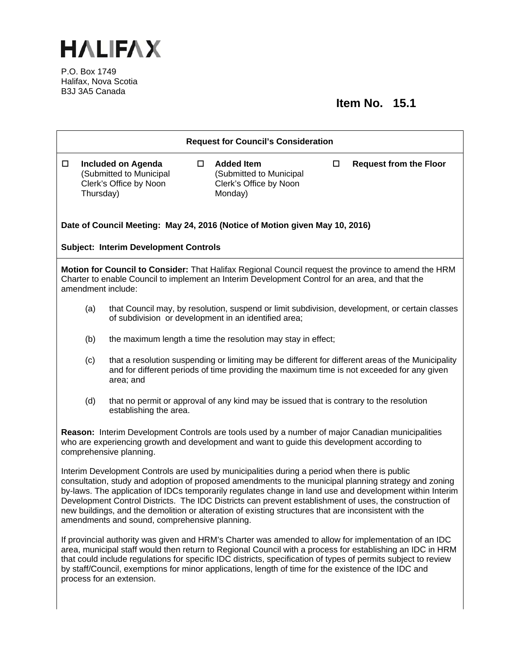

P.O. Box 1749 Halifax, Nova Scotia B3J 3A5 Canada

## **Item No. 15.1**

| <b>Request for Council's Consideration</b>                                                                                                                                                                                                                                                                                                                                                                                                                                                                                                                                             |                                                                                |        |                                                                                         |        |                                                                                                                                                                                                 |  |
|----------------------------------------------------------------------------------------------------------------------------------------------------------------------------------------------------------------------------------------------------------------------------------------------------------------------------------------------------------------------------------------------------------------------------------------------------------------------------------------------------------------------------------------------------------------------------------------|--------------------------------------------------------------------------------|--------|-----------------------------------------------------------------------------------------|--------|-------------------------------------------------------------------------------------------------------------------------------------------------------------------------------------------------|--|
| $\Box$<br>Thursday)                                                                                                                                                                                                                                                                                                                                                                                                                                                                                                                                                                    | <b>Included on Agenda</b><br>(Submitted to Municipal<br>Clerk's Office by Noon | $\Box$ | <b>Added Item</b><br>(Submitted to Municipal<br>Clerk's Office by Noon<br>Monday)       | $\Box$ | <b>Request from the Floor</b>                                                                                                                                                                   |  |
| Date of Council Meeting: May 24, 2016 (Notice of Motion given May 10, 2016)<br><b>Subject: Interim Development Controls</b>                                                                                                                                                                                                                                                                                                                                                                                                                                                            |                                                                                |        |                                                                                         |        |                                                                                                                                                                                                 |  |
| Motion for Council to Consider: That Halifax Regional Council request the province to amend the HRM<br>Charter to enable Council to implement an Interim Development Control for an area, and that the<br>amendment include:                                                                                                                                                                                                                                                                                                                                                           |                                                                                |        |                                                                                         |        |                                                                                                                                                                                                 |  |
| that Council may, by resolution, suspend or limit subdivision, development, or certain classes<br>(a)<br>of subdivision or development in an identified area;                                                                                                                                                                                                                                                                                                                                                                                                                          |                                                                                |        |                                                                                         |        |                                                                                                                                                                                                 |  |
| (b)                                                                                                                                                                                                                                                                                                                                                                                                                                                                                                                                                                                    |                                                                                |        | the maximum length a time the resolution may stay in effect;                            |        |                                                                                                                                                                                                 |  |
| (c)                                                                                                                                                                                                                                                                                                                                                                                                                                                                                                                                                                                    | area; and                                                                      |        |                                                                                         |        | that a resolution suspending or limiting may be different for different areas of the Municipality<br>and for different periods of time providing the maximum time is not exceeded for any given |  |
| (d)                                                                                                                                                                                                                                                                                                                                                                                                                                                                                                                                                                                    | establishing the area.                                                         |        | that no permit or approval of any kind may be issued that is contrary to the resolution |        |                                                                                                                                                                                                 |  |
| Reason: Interim Development Controls are tools used by a number of major Canadian municipalities<br>who are experiencing growth and development and want to guide this development according to<br>comprehensive planning.                                                                                                                                                                                                                                                                                                                                                             |                                                                                |        |                                                                                         |        |                                                                                                                                                                                                 |  |
| Interim Development Controls are used by municipalities during a period when there is public<br>consultation, study and adoption of proposed amendments to the municipal planning strategy and zoning<br>by-laws. The application of IDCs temporarily regulates change in land use and development within Interim<br>Development Control Districts. The IDC Districts can prevent establishment of uses, the construction of<br>new buildings, and the demolition or alteration of existing structures that are inconsistent with the<br>amendments and sound, comprehensive planning. |                                                                                |        |                                                                                         |        |                                                                                                                                                                                                 |  |
| If provincial authority was given and HRM's Charter was amended to allow for implementation of an IDC<br>area, municipal staff would then return to Regional Council with a process for establishing an IDC in HRM<br>that could include regulations for specific IDC districts, specification of types of permits subject to review<br>by staff/Council, exemptions for minor applications, length of time for the existence of the IDC and<br>process for an extension.                                                                                                              |                                                                                |        |                                                                                         |        |                                                                                                                                                                                                 |  |